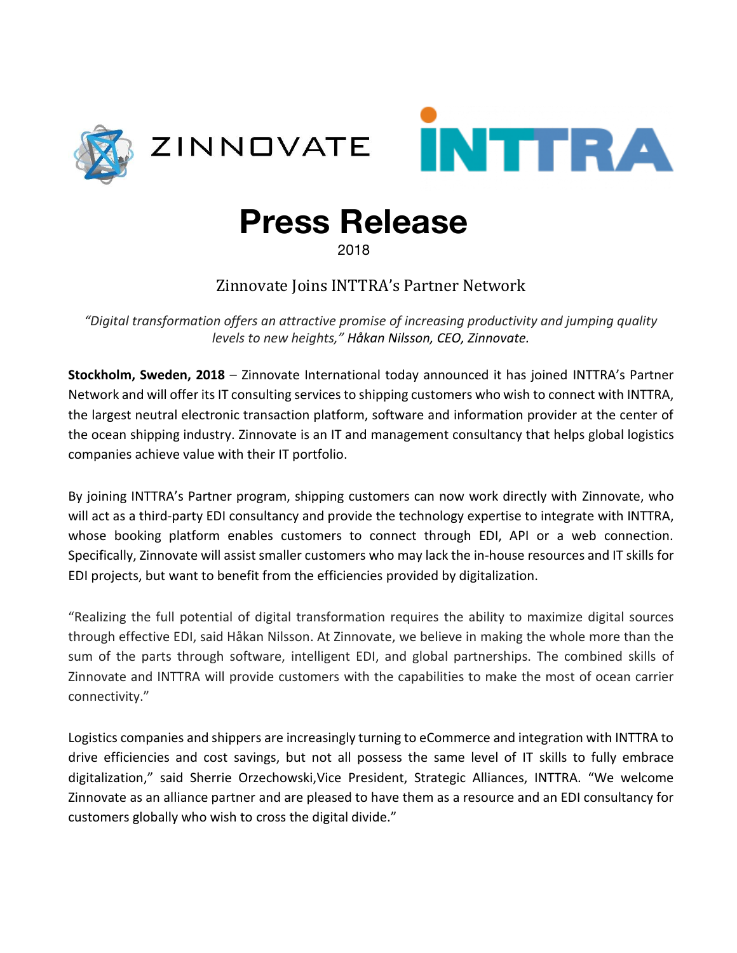



## **Press Release**

2018

Zinnovate Joins INTTRA's Partner Network

*"Digital transformation offers an attractive promise of increasing productivity and jumping quality levels to new heights," Håkan Nilsson, CEO, Zinnovate.*

**Stockholm, Sweden, 2018** – Zinnovate International today announced it has joined INTTRA's Partner Network and will offer its IT consulting services to shipping customers who wish to connect with INTTRA, the largest neutral electronic transaction platform, software and information provider at the center of the ocean shipping industry. Zinnovate is an IT and management consultancy that helps global logistics companies achieve value with their IT portfolio.

By joining INTTRA's Partner program, shipping customers can now work directly with Zinnovate, who will act as a third-party EDI consultancy and provide the technology expertise to integrate with INTTRA, whose booking platform enables customers to connect through EDI, API or a web connection. Specifically, Zinnovate will assist smaller customers who may lack the in-house resources and IT skills for EDI projects, but want to benefit from the efficiencies provided by digitalization.

"Realizing the full potential of digital transformation requires the ability to maximize digital sources through effective EDI, said Håkan Nilsson. At Zinnovate, we believe in making the whole more than the sum of the parts through software, intelligent EDI, and global partnerships. The combined skills of Zinnovate and INTTRA will provide customers with the capabilities to make the most of ocean carrier connectivity."

Logistics companies and shippers are increasingly turning to eCommerce and integration with INTTRA to drive efficiencies and cost savings, but not all possess the same level of IT skills to fully embrace digitalization," said Sherrie Orzechowski,Vice President, Strategic Alliances, INTTRA. "We welcome Zinnovate as an alliance partner and are pleased to have them as a resource and an EDI consultancy for customers globally who wish to cross the digital divide."